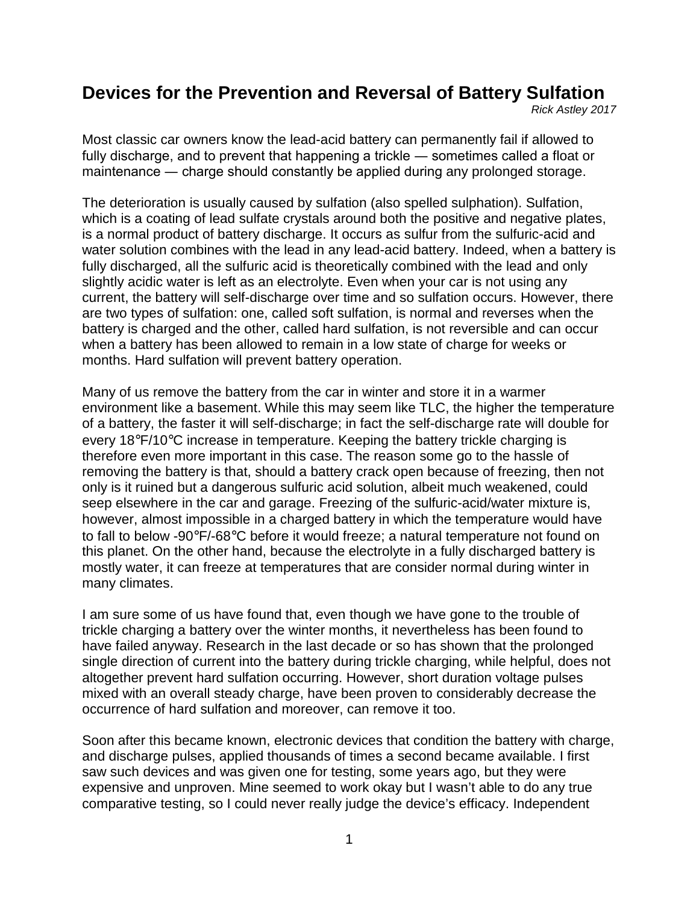# **Devices for the Prevention and Reversal of Battery Sulfation**

*Rick Astley 2017*

Most classic car owners know the lead-acid battery can permanently fail if allowed to fully discharge, and to prevent that happening a trickle — sometimes called a float or maintenance ― charge should constantly be applied during any prolonged storage.

The deterioration is usually caused by sulfation (also spelled sulphation). Sulfation, which is a coating of lead sulfate crystals around both the positive and negative plates, is a normal product of battery discharge. It occurs as sulfur from the sulfuric-acid and water solution combines with the lead in any lead-acid battery. Indeed, when a battery is fully discharged, all the sulfuric acid is theoretically combined with the lead and only slightly acidic water is left as an electrolyte. Even when your car is not using any current, the battery will self-discharge over time and so sulfation occurs. However, there are two types of sulfation: one, called soft sulfation, is normal and reverses when the battery is charged and the other, called hard sulfation, is not reversible and can occur when a battery has been allowed to remain in a low state of charge for weeks or months. Hard sulfation will prevent battery operation.

Many of us remove the battery from the car in winter and store it in a warmer environment like a basement. While this may seem like TLC, the higher the temperature of a battery, the faster it will self-discharge; in fact the self-discharge rate will double for every 18°F/10°C increase in temperature. Keeping the battery trickle charging is therefore even more important in this case. The reason some go to the hassle of removing the battery is that, should a battery crack open because of freezing, then not only is it ruined but a dangerous sulfuric acid solution, albeit much weakened, could seep elsewhere in the car and garage. Freezing of the sulfuric-acid/water mixture is, however, almost impossible in a charged battery in which the temperature would have to fall to below -90°F/-68°C before it would freeze; a natural temperature not found on this planet. On the other hand, because the electrolyte in a fully discharged battery is mostly water, it can freeze at temperatures that are consider normal during winter in many climates.

I am sure some of us have found that, even though we have gone to the trouble of trickle charging a battery over the winter months, it nevertheless has been found to have failed anyway. Research in the last decade or so has shown that the prolonged single direction of current into the battery during trickle charging, while helpful, does not altogether prevent hard sulfation occurring. However, short duration voltage pulses mixed with an overall steady charge, have been proven to considerably decrease the occurrence of hard sulfation and moreover, can remove it too.

Soon after this became known, electronic devices that condition the battery with charge, and discharge pulses, applied thousands of times a second became available. I first saw such devices and was given one for testing, some years ago, but they were expensive and unproven. Mine seemed to work okay but I wasn't able to do any true comparative testing, so I could never really judge the device's efficacy. Independent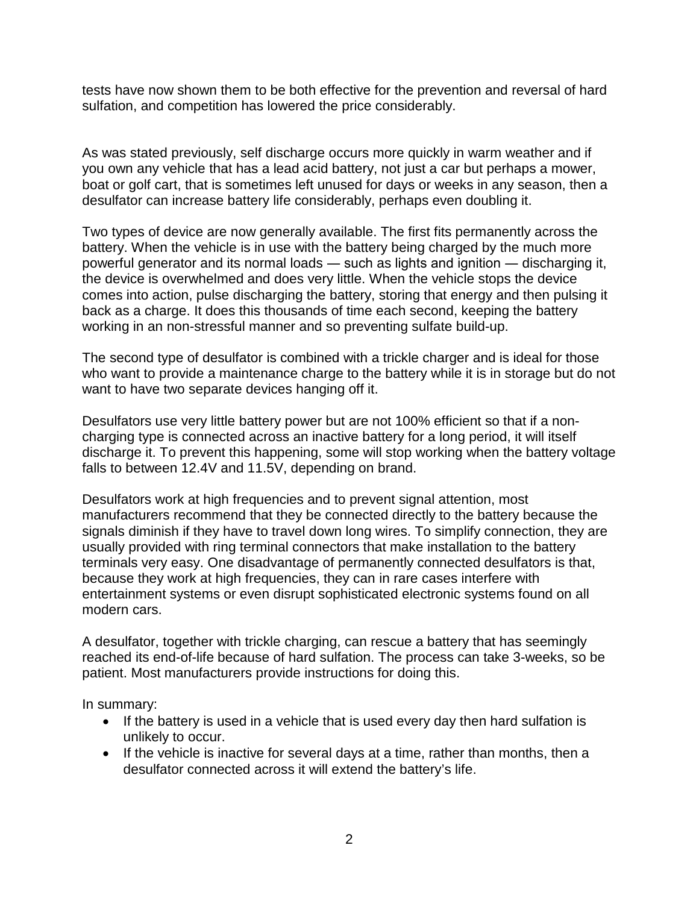tests have now shown them to be both effective for the prevention and reversal of hard sulfation, and competition has lowered the price considerably.

As was stated previously, self discharge occurs more quickly in warm weather and if you own any vehicle that has a lead acid battery, not just a car but perhaps a mower, boat or golf cart, that is sometimes left unused for days or weeks in any season, then a desulfator can increase battery life considerably, perhaps even doubling it.

Two types of device are now generally available. The first fits permanently across the battery. When the vehicle is in use with the battery being charged by the much more powerful generator and its normal loads ― such as lights and ignition ― discharging it, the device is overwhelmed and does very little. When the vehicle stops the device comes into action, pulse discharging the battery, storing that energy and then pulsing it back as a charge. It does this thousands of time each second, keeping the battery working in an non-stressful manner and so preventing sulfate build-up.

The second type of desulfator is combined with a trickle charger and is ideal for those who want to provide a maintenance charge to the battery while it is in storage but do not want to have two separate devices hanging off it.

Desulfators use very little battery power but are not 100% efficient so that if a noncharging type is connected across an inactive battery for a long period, it will itself discharge it. To prevent this happening, some will stop working when the battery voltage falls to between 12.4V and 11.5V, depending on brand.

Desulfators work at high frequencies and to prevent signal attention, most manufacturers recommend that they be connected directly to the battery because the signals diminish if they have to travel down long wires. To simplify connection, they are usually provided with ring terminal connectors that make installation to the battery terminals very easy. One disadvantage of permanently connected desulfators is that, because they work at high frequencies, they can in rare cases interfere with entertainment systems or even disrupt sophisticated electronic systems found on all modern cars.

A desulfator, together with trickle charging, can rescue a battery that has seemingly reached its end-of-life because of hard sulfation. The process can take 3-weeks, so be patient. Most manufacturers provide instructions for doing this.

In summary:

- If the battery is used in a vehicle that is used every day then hard sulfation is unlikely to occur.
- If the vehicle is inactive for several days at a time, rather than months, then a desulfator connected across it will extend the battery's life.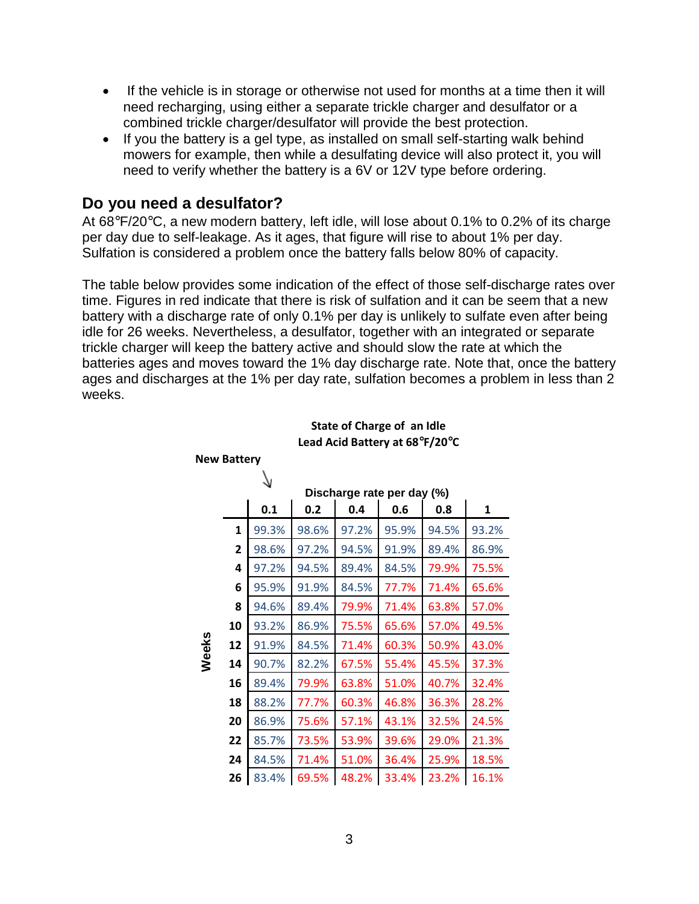- If the vehicle is in storage or otherwise not used for months at a time then it will need recharging, using either a separate trickle charger and desulfator or a combined trickle charger/desulfator will provide the best protection.
- If you the battery is a gel type, as installed on small self-starting walk behind mowers for example, then while a desulfating device will also protect it, you will need to verify whether the battery is a 6V or 12V type before ordering.

### **Do you need a desulfator?**

At 68°F/20°C, a new modern battery, left idle, will lose about 0.1% to 0.2% of its charge per day due to self-leakage. As it ages, that figure will rise to about 1% per day. Sulfation is considered a problem once the battery falls below 80% of capacity.

The table below provides some indication of the effect of those self-discharge rates over time. Figures in red indicate that there is risk of sulfation and it can be seem that a new battery with a discharge rate of only 0.1% per day is unlikely to sulfate even after being idle for 26 weeks. Nevertheless, a desulfator, together with an integrated or separate trickle charger will keep the battery active and should slow the rate at which the batteries ages and moves toward the 1% day discharge rate. Note that, once the battery ages and discharges at the 1% per day rate, sulfation becomes a problem in less than 2 weeks.

#### **State of Charge of an Idle Lead Acid Battery at 68°F/20°C**

|       |              |       |       | Discharge rate per day (%) |       |       |       |
|-------|--------------|-------|-------|----------------------------|-------|-------|-------|
|       |              | 0.1   | 0.2   | 0.4                        | 0.6   | 0.8   | 1     |
|       | $\mathbf{1}$ | 99.3% | 98.6% | 97.2%                      | 95.9% | 94.5% | 93.2% |
|       | 2            | 98.6% | 97.2% | 94.5%                      | 91.9% | 89.4% | 86.9% |
|       | 4            | 97.2% | 94.5% | 89.4%                      | 84.5% | 79.9% | 75.5% |
|       | 6            | 95.9% | 91.9% | 84.5%                      | 77.7% | 71.4% | 65.6% |
|       | 8            | 94.6% | 89.4% | 79.9%                      | 71.4% | 63.8% | 57.0% |
|       | 10           | 93.2% | 86.9% | 75.5%                      | 65.6% | 57.0% | 49.5% |
| Weeks | 12           | 91.9% | 84.5% | 71.4%                      | 60.3% | 50.9% | 43.0% |
|       | 14           | 90.7% | 82.2% | 67.5%                      | 55.4% | 45.5% | 37.3% |
|       | 16           | 89.4% | 79.9% | 63.8%                      | 51.0% | 40.7% | 32.4% |
|       | 18           | 88.2% | 77.7% | 60.3%                      | 46.8% | 36.3% | 28.2% |
|       | 20           | 86.9% | 75.6% | 57.1%                      | 43.1% | 32.5% | 24.5% |
|       | 22           | 85.7% | 73.5% | 53.9%                      | 39.6% | 29.0% | 21.3% |
|       | 24           | 84.5% | 71.4% | 51.0%                      | 36.4% | 25.9% | 18.5% |
|       | 26           | 83.4% | 69.5% | 48.2%                      | 33.4% | 23.2% | 16.1% |

**New Battery**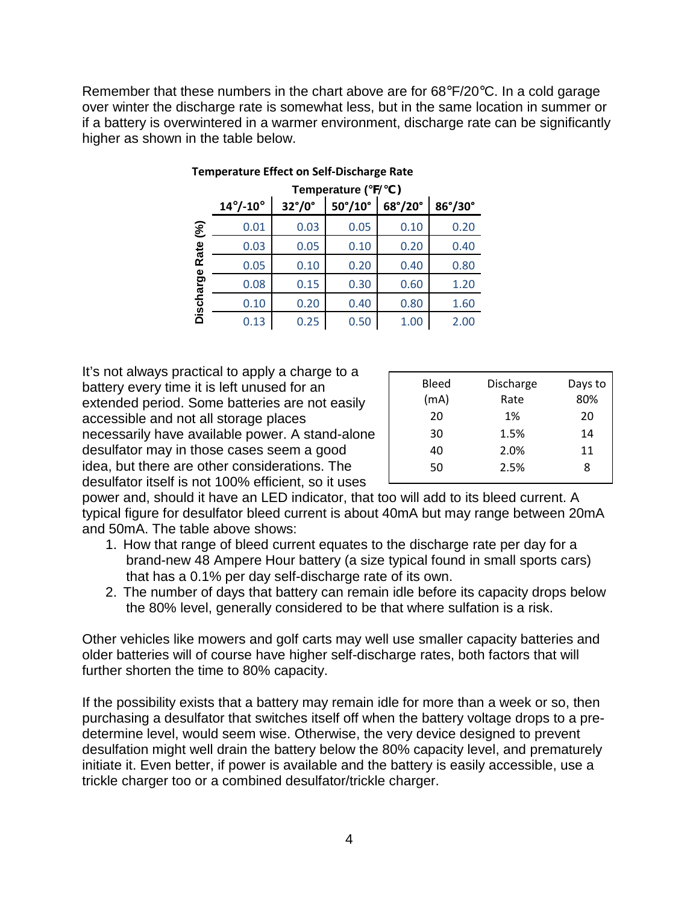Remember that these numbers in the chart above are for 68°F/20°C. In a cold garage over winter the discharge rate is somewhat less, but in the same location in summer or if a battery is overwintered in a warmer environment, discharge rate can be significantly higher as shown in the table below.

|               | Temperature (°F/°C)      |                        |                         |         |                     |  |  |  |
|---------------|--------------------------|------------------------|-------------------------|---------|---------------------|--|--|--|
|               | $14^{\circ}/-10^{\circ}$ | $32^{\circ}/0^{\circ}$ | $50^{\circ}/10^{\circ}$ | 68°/20° | $86^\circ/30^\circ$ |  |  |  |
| $\mathcal{S}$ | 0.01                     | 0.03                   | 0.05                    | 0.10    | 0.20                |  |  |  |
| Rate          | 0.03                     | 0.05                   | 0.10                    | 0.20    | 0.40                |  |  |  |
|               | 0.05                     | 0.10                   | 0.20                    | 0.40    | 0.80                |  |  |  |
|               | 0.08                     | 0.15                   | 0.30                    | 0.60    | 1.20                |  |  |  |
| Discharge     | 0.10                     | 0.20                   | 0.40                    | 0.80    | 1.60                |  |  |  |
|               | 0.13                     | 0.25                   | 0.50                    | 1.00    | 2.00                |  |  |  |

#### **Temperature Effect on Self-Discharge Rate**

It's not always practical to apply a charge to a battery every time it is left unused for an extended period. Some batteries are not easily accessible and not all storage places necessarily have available power. A stand-alone desulfator may in those cases seem a good idea, but there are other considerations. The desulfator itself is not 100% efficient, so it uses

| <b>Bleed</b><br>(mA) | Discharge<br>Rate | Days to<br>80% |
|----------------------|-------------------|----------------|
| 20                   | 1%                | 20             |
| 30                   | 1.5%              | 14             |
| 40                   | 2.0%              | 11             |
| 50                   | 2.5%              | 8              |

power and, should it have an LED indicator, that too will add to its bleed current. A typical figure for desulfator bleed current is about 40mA but may range between 20mA and 50mA. The table above shows:

- 1. How that range of bleed current equates to the discharge rate per day for a brand-new 48 Ampere Hour battery (a size typical found in small sports cars) that has a 0.1% per day self-discharge rate of its own.
- 2. The number of days that battery can remain idle before its capacity drops below the 80% level, generally considered to be that where sulfation is a risk.

Other vehicles like mowers and golf carts may well use smaller capacity batteries and older batteries will of course have higher self-discharge rates, both factors that will further shorten the time to 80% capacity.

If the possibility exists that a battery may remain idle for more than a week or so, then purchasing a desulfator that switches itself off when the battery voltage drops to a predetermine level, would seem wise. Otherwise, the very device designed to prevent desulfation might well drain the battery below the 80% capacity level, and prematurely initiate it. Even better, if power is available and the battery is easily accessible, use a trickle charger too or a combined desulfator/trickle charger.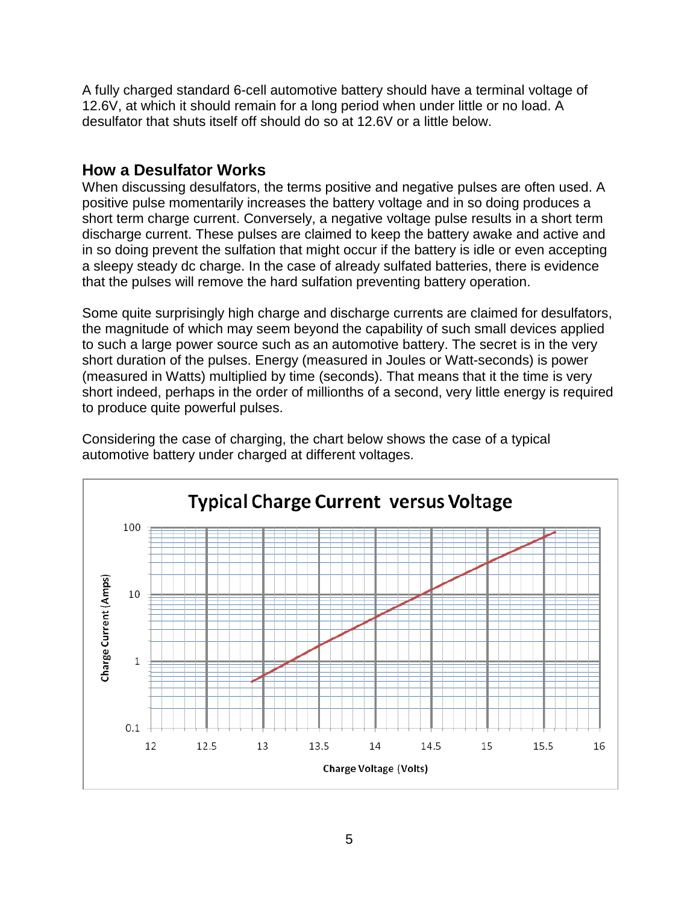A fully charged standard 6-cell automotive battery should have a terminal voltage of 12.6V, at which it should remain for a long period when under little or no load. A desulfator that shuts itself off should do so at 12.6V or a little below.

### **How a Desulfator Works**

When discussing desulfators, the terms positive and negative pulses are often used. A positive pulse momentarily increases the battery voltage and in so doing produces a short term charge current. Conversely, a negative voltage pulse results in a short term discharge current. These pulses are claimed to keep the battery awake and active and in so doing prevent the sulfation that might occur if the battery is idle or even accepting a sleepy steady dc charge. In the case of already sulfated batteries, there is evidence that the pulses will remove the hard sulfation preventing battery operation.

Some quite surprisingly high charge and discharge currents are claimed for desulfators, the magnitude of which may seem beyond the capability of such small devices applied to such a large power source such as an automotive battery. The secret is in the very short duration of the pulses. Energy (measured in Joules or Watt-seconds) is power (measured in Watts) multiplied by time (seconds). That means that it the time is very short indeed, perhaps in the order of millionths of a second, very little energy is required to produce quite powerful pulses.



Considering the case of charging, the chart below shows the case of a typical automotive battery under charged at different voltages.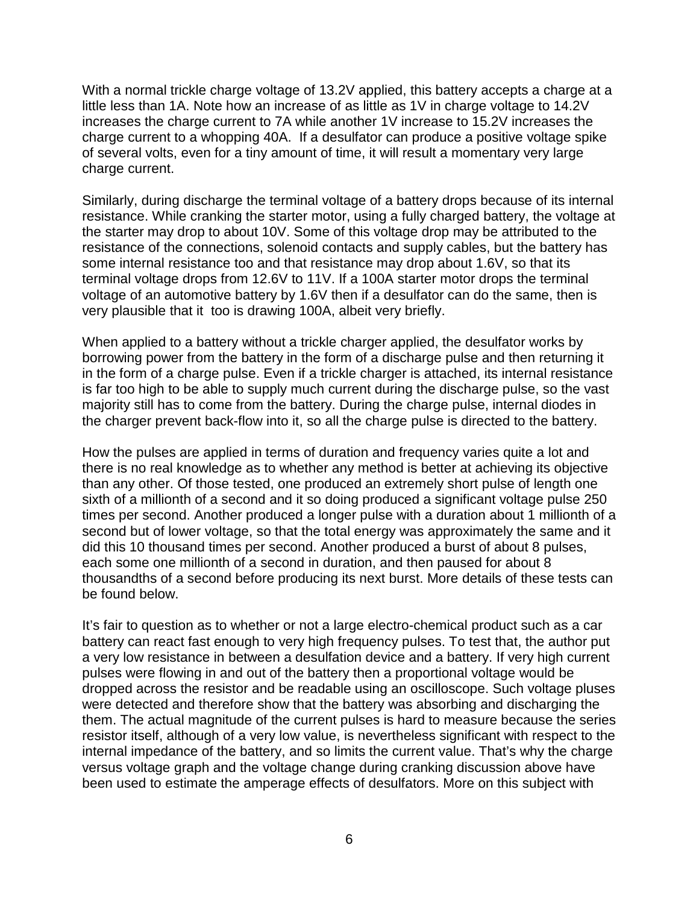With a normal trickle charge voltage of 13.2V applied, this battery accepts a charge at a little less than 1A. Note how an increase of as little as 1V in charge voltage to 14.2V increases the charge current to 7A while another 1V increase to 15.2V increases the charge current to a whopping 40A. If a desulfator can produce a positive voltage spike of several volts, even for a tiny amount of time, it will result a momentary very large charge current.

Similarly, during discharge the terminal voltage of a battery drops because of its internal resistance. While cranking the starter motor, using a fully charged battery, the voltage at the starter may drop to about 10V. Some of this voltage drop may be attributed to the resistance of the connections, solenoid contacts and supply cables, but the battery has some internal resistance too and that resistance may drop about 1.6V, so that its terminal voltage drops from 12.6V to 11V. If a 100A starter motor drops the terminal voltage of an automotive battery by 1.6V then if a desulfator can do the same, then is very plausible that it too is drawing 100A, albeit very briefly.

When applied to a battery without a trickle charger applied, the desulfator works by borrowing power from the battery in the form of a discharge pulse and then returning it in the form of a charge pulse. Even if a trickle charger is attached, its internal resistance is far too high to be able to supply much current during the discharge pulse, so the vast majority still has to come from the battery. During the charge pulse, internal diodes in the charger prevent back-flow into it, so all the charge pulse is directed to the battery.

How the pulses are applied in terms of duration and frequency varies quite a lot and there is no real knowledge as to whether any method is better at achieving its objective than any other. Of those tested, one produced an extremely short pulse of length one sixth of a millionth of a second and it so doing produced a significant voltage pulse 250 times per second. Another produced a longer pulse with a duration about 1 millionth of a second but of lower voltage, so that the total energy was approximately the same and it did this 10 thousand times per second. Another produced a burst of about 8 pulses, each some one millionth of a second in duration, and then paused for about 8 thousandths of a second before producing its next burst. More details of these tests can be found below.

It's fair to question as to whether or not a large electro-chemical product such as a car battery can react fast enough to very high frequency pulses. To test that, the author put a very low resistance in between a desulfation device and a battery. If very high current pulses were flowing in and out of the battery then a proportional voltage would be dropped across the resistor and be readable using an oscilloscope. Such voltage pluses were detected and therefore show that the battery was absorbing and discharging the them. The actual magnitude of the current pulses is hard to measure because the series resistor itself, although of a very low value, is nevertheless significant with respect to the internal impedance of the battery, and so limits the current value. That's why the charge versus voltage graph and the voltage change during cranking discussion above have been used to estimate the amperage effects of desulfators. More on this subject with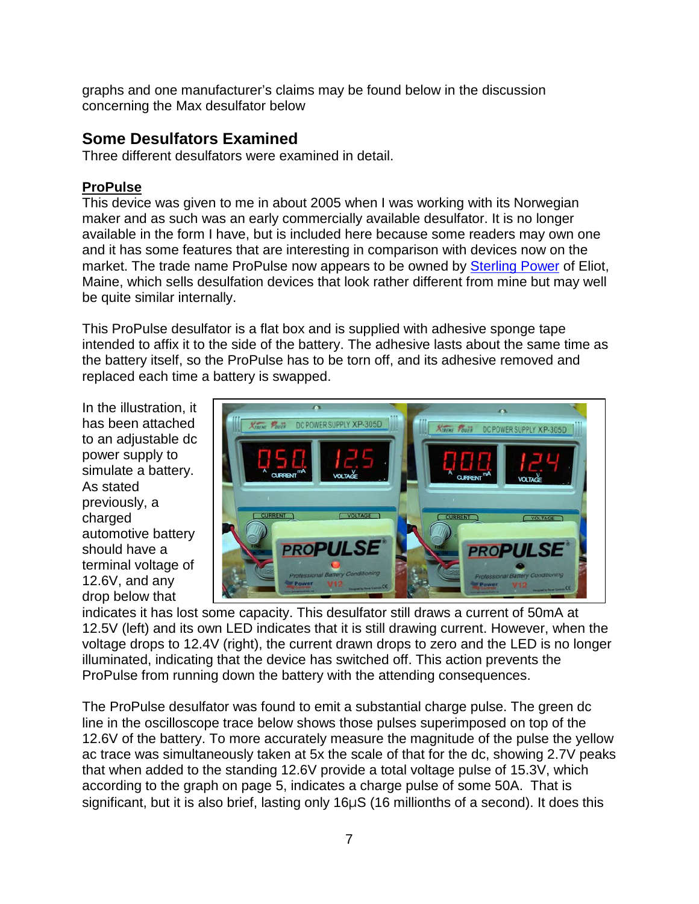graphs and one manufacturer's claims may be found below in the discussion concerning the Max desulfator below

## **Some Desulfators Examined**

Three different desulfators were examined in detail.

### **ProPulse**

This device was given to me in about 2005 when I was working with its Norwegian maker and as such was an early commercially available desulfator. It is no longer available in the form I have, but is included here because some readers may own one and it has some features that are interesting in comparison with devices now on the market. The trade name ProPulse now appears to be owned by **Sterling Power** of Eliot, Maine, which sells desulfation devices that look rather different from mine but may well be quite similar internally.

This ProPulse desulfator is a flat box and is supplied with adhesive sponge tape intended to affix it to the side of the battery. The adhesive lasts about the same time as the battery itself, so the ProPulse has to be torn off, and its adhesive removed and replaced each time a battery is swapped.

In the illustration, it has been attached to an adjustable dc power supply to simulate a battery. As stated previously, a charged automotive battery should have a terminal voltage of 12.6V, and any drop below that



indicates it has lost some capacity. This desulfator still draws a current of 50mA at 12.5V (left) and its own LED indicates that it is still drawing current. However, when the voltage drops to 12.4V (right), the current drawn drops to zero and the LED is no longer illuminated, indicating that the device has switched off. This action prevents the ProPulse from running down the battery with the attending consequences.

The ProPulse desulfator was found to emit a substantial charge pulse. The green dc line in the oscilloscope trace below shows those pulses superimposed on top of the 12.6V of the battery. To more accurately measure the magnitude of the pulse the yellow ac trace was simultaneously taken at 5x the scale of that for the dc, showing 2.7V peaks that when added to the standing 12.6V provide a total voltage pulse of 15.3V, which according to the graph on page 5, indicates a charge pulse of some 50A. That is significant, but it is also brief, lasting only 16μS (16 millionths of a second). It does this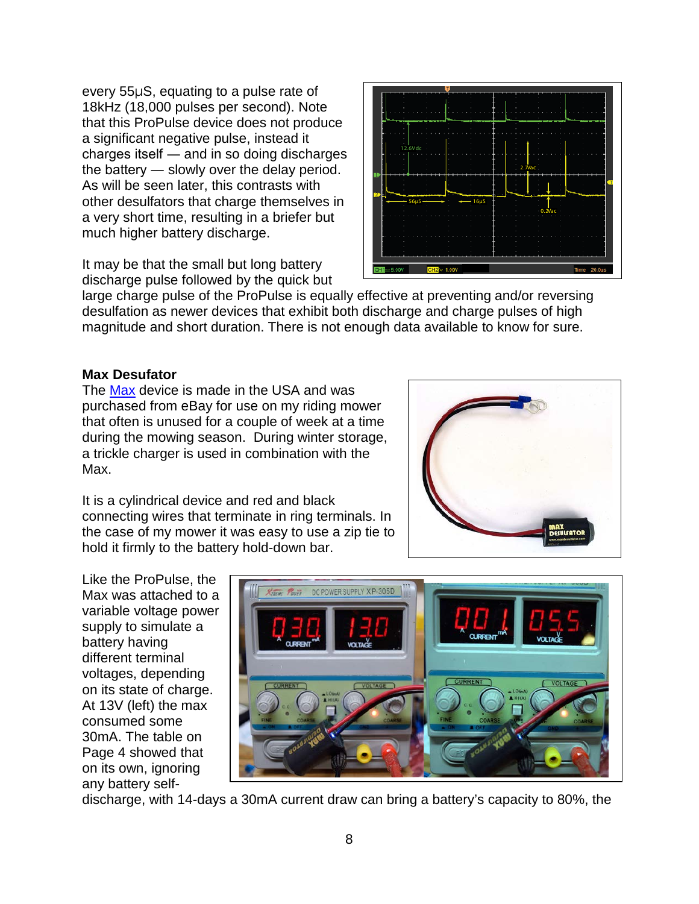every 55μS, equating to a pulse rate of 18kHz (18,000 pulses per second). Note that this ProPulse device does not produce a significant negative pulse, instead it charges itself ― and in so doing discharges the battery ― slowly over the delay period. As will be seen later, this contrasts with other desulfators that charge themselves in a very short time, resulting in a briefer but much higher battery discharge.

It may be that the small but long battery discharge pulse followed by the quick but



large charge pulse of the ProPulse is equally effective at preventing and/or reversing desulfation as newer devices that exhibit both discharge and charge pulses of high magnitude and short duration. There is not enough data available to know for sure.

### **Max Desufator**

The [Max](http://www.maxdesulfator.com/) device is made in the USA and was purchased from eBay for use on my riding mower that often is unused for a couple of week at a time during the mowing season. During winter storage, a trickle charger is used in combination with the Max.

It is a cylindrical device and red and black connecting wires that terminate in ring terminals. In the case of my mower it was easy to use a zip tie to hold it firmly to the battery hold-down bar.



Like the ProPulse, the Max was attached to a variable voltage power supply to simulate a battery having different terminal voltages, depending on its state of charge. At 13V (left) the max consumed some 30mA. The table on Page 4 showed that on its own, ignoring any battery self-



discharge, with 14-days a 30mA current draw can bring a battery's capacity to 80%, the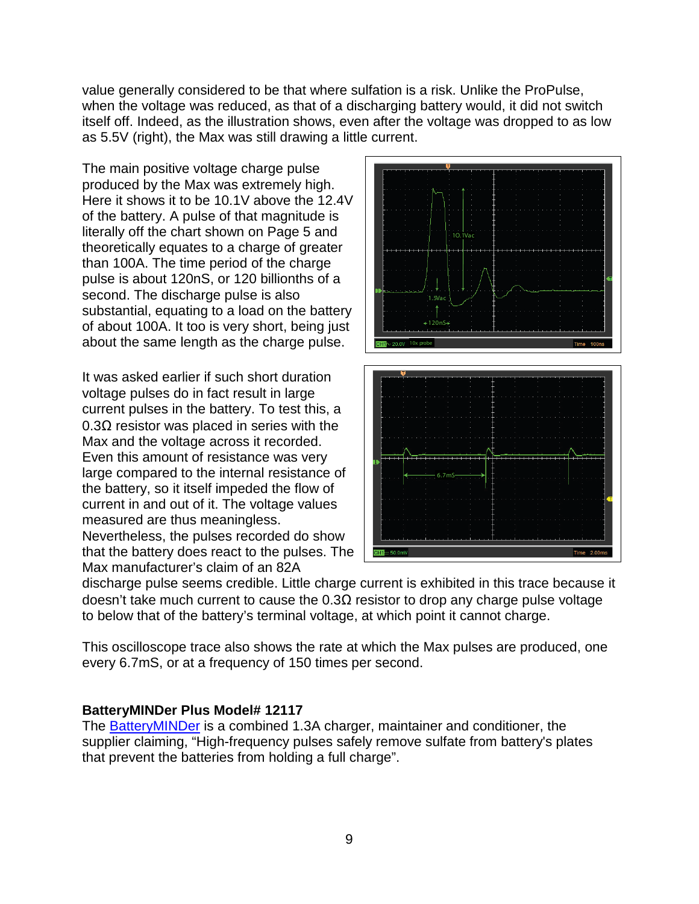value generally considered to be that where sulfation is a risk. Unlike the ProPulse, when the voltage was reduced, as that of a discharging battery would, it did not switch itself off. Indeed, as the illustration shows, even after the voltage was dropped to as low as 5.5V (right), the Max was still drawing a little current.

The main positive voltage charge pulse produced by the Max was extremely high. Here it shows it to be 10.1V above the 12.4V of the battery. A pulse of that magnitude is literally off the chart shown on Page 5 and theoretically equates to a charge of greater than 100A. The time period of the charge pulse is about 120nS, or 120 billionths of a second. The discharge pulse is also substantial, equating to a load on the battery of about 100A. It too is very short, being just about the same length as the charge pulse.

It was asked earlier if such short duration voltage pulses do in fact result in large current pulses in the battery. To test this, a 0.3Ω resistor was placed in series with the Max and the voltage across it recorded. Even this amount of resistance was very large compared to the internal resistance of the battery, so it itself impeded the flow of current in and out of it. The voltage values measured are thus meaningless. Nevertheless, the pulses recorded do show that the battery does react to the pulses. The Max manufacturer's claim of an 82A



discharge pulse seems credible. Little charge current is exhibited in this trace because it doesn't take much current to cause the 0.3Ω resistor to drop any charge pulse voltage to below that of the battery's terminal voltage, at which point it cannot charge.

This oscilloscope trace also shows the rate at which the Max pulses are produced, one every 6.7mS, or at a frequency of 150 times per second.

#### **BatteryMINDer Plus Model# 12117**

The [BatteryMINDer](http://www.batteryminders.com/content/manuals/plus_models.pdf) is a combined 1.3A charger, maintainer and conditioner, the supplier claiming, "High-frequency pulses safely remove sulfate from battery's plates that prevent the batteries from holding a full charge".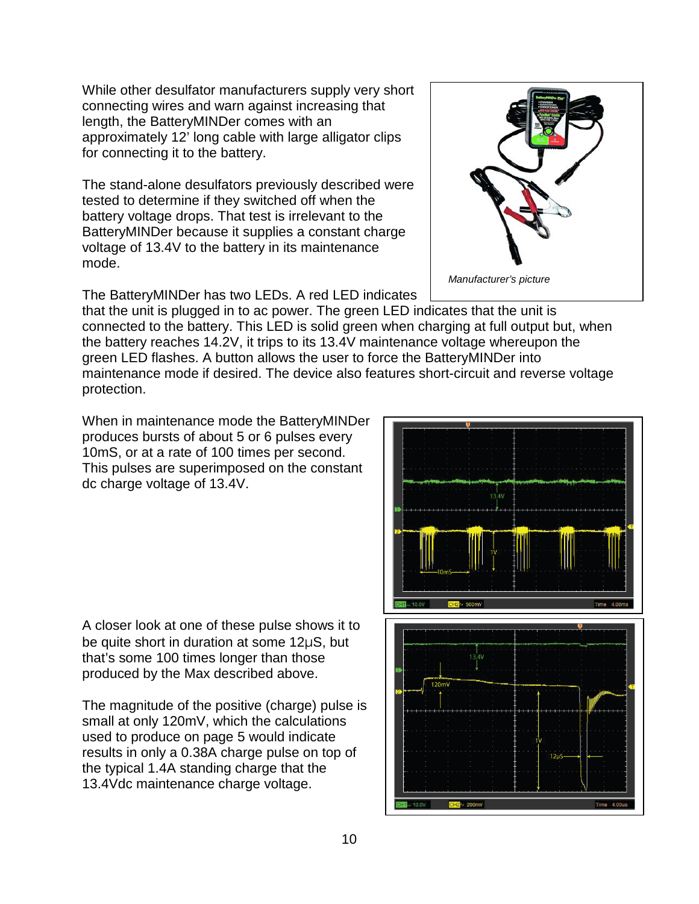While other desulfator manufacturers supply very short connecting wires and warn against increasing that length, the BatteryMINDer comes with an approximately 12' long cable with large alligator clips for connecting it to the battery.

The stand-alone desulfators previously described were tested to determine if they switched off when the battery voltage drops. That test is irrelevant to the BatteryMINDer because it supplies a constant charge voltage of 13.4V to the battery in its maintenance mode.

The BatteryMINDer has two LEDs. A red LED indicates

that the unit is plugged in to ac power. The green LED indicates that the unit is connected to the battery. This LED is solid green when charging at full output but, when the battery reaches 14.2V, it trips to its 13.4V maintenance voltage whereupon the green LED flashes. A button allows the user to force the BatteryMINDer into maintenance mode if desired. The device also features short-circuit and reverse voltage protection.

When in maintenance mode the BatteryMINDer produces bursts of about 5 or 6 pulses every 10mS, or at a rate of 100 times per second. This pulses are superimposed on the constant dc charge voltage of 13.4V.

A closer look at one of these pulse shows it to be quite short in duration at some 12μS, but that's some 100 times longer than those produced by the Max described above.

The magnitude of the positive (charge) pulse is small at only 120mV, which the calculations used to produce on page 5 would indicate results in only a 0.38A charge pulse on top of the typical 1.4A standing charge that the 13.4Vdc maintenance charge voltage.